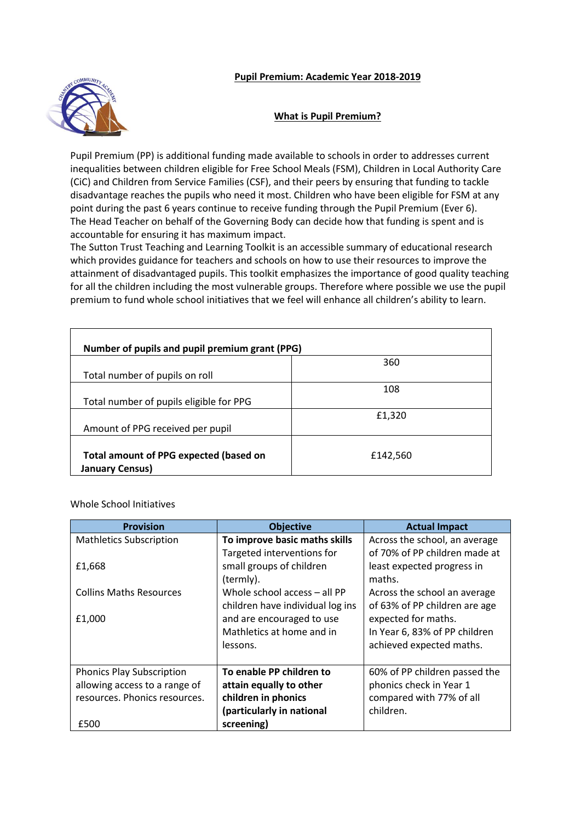## **Pupil Premium: Academic Year 2018-2019**



## **What is Pupil Premium?**

Pupil Premium (PP) is additional funding made available to schools in order to addresses current inequalities between children eligible for Free School Meals (FSM), Children in Local Authority Care (CiC) and Children from Service Families (CSF), and their peers by ensuring that funding to tackle disadvantage reaches the pupils who need it most. Children who have been eligible for FSM at any point during the past 6 years continue to receive funding through the Pupil Premium (Ever 6). The Head Teacher on behalf of the Governing Body can decide how that funding is spent and is accountable for ensuring it has maximum impact.

The Sutton Trust Teaching and Learning Toolkit is an accessible summary of educational research which provides guidance for teachers and schools on how to use their resources to improve the attainment of disadvantaged pupils. This toolkit emphasizes the importance of good quality teaching for all the children including the most vulnerable groups. Therefore where possible we use the pupil premium to fund whole school initiatives that we feel will enhance all children's ability to learn.

| Number of pupils and pupil premium grant (PPG) |          |
|------------------------------------------------|----------|
|                                                | 360      |
| Total number of pupils on roll                 |          |
|                                                | 108      |
| Total number of pupils eligible for PPG        |          |
|                                                | £1,320   |
| Amount of PPG received per pupil               |          |
|                                                |          |
| Total amount of PPG expected (based on         | £142,560 |
| <b>January Census)</b>                         |          |

Whole School Initiatives

| <b>Provision</b>                 | <b>Objective</b>                 | <b>Actual Impact</b>          |
|----------------------------------|----------------------------------|-------------------------------|
| <b>Mathletics Subscription</b>   | To improve basic maths skills    | Across the school, an average |
|                                  | Targeted interventions for       | of 70% of PP children made at |
| £1,668                           | small groups of children         | least expected progress in    |
|                                  | (termly).                        | maths.                        |
| <b>Collins Maths Resources</b>   | Whole school access - all PP     | Across the school an average  |
|                                  | children have individual log ins | of 63% of PP children are age |
| £1,000                           | and are encouraged to use        | expected for maths.           |
|                                  | Mathletics at home and in        | In Year 6, 83% of PP children |
|                                  | lessons.                         | achieved expected maths.      |
|                                  |                                  |                               |
| <b>Phonics Play Subscription</b> | To enable PP children to         | 60% of PP children passed the |
| allowing access to a range of    | attain equally to other          | phonics check in Year 1       |
| resources. Phonics resources.    | children in phonics              | compared with 77% of all      |
|                                  | (particularly in national        | children.                     |
| £500                             | screening)                       |                               |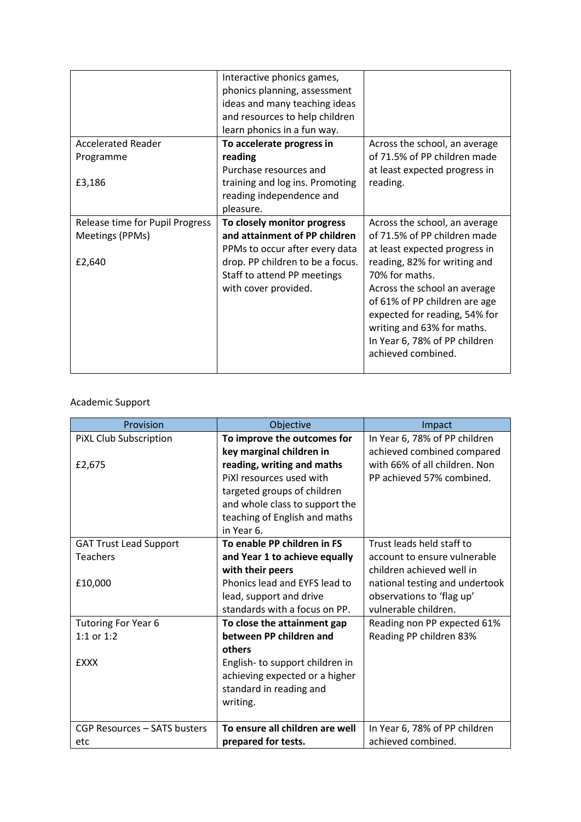|                                 | Interactive phonics games,       |                               |
|---------------------------------|----------------------------------|-------------------------------|
|                                 | phonics planning, assessment     |                               |
|                                 | ideas and many teaching ideas    |                               |
|                                 | and resources to help children   |                               |
|                                 | learn phonics in a fun way.      |                               |
| <b>Accelerated Reader</b>       | To accelerate progress in        | Across the school, an average |
| Programme                       | reading                          | of 71.5% of PP children made  |
|                                 | Purchase resources and           | at least expected progress in |
| £3,186                          | training and log ins. Promoting  | reading.                      |
|                                 | reading independence and         |                               |
|                                 | pleasure.                        |                               |
| Release time for Pupil Progress | To closely monitor progress      | Across the school, an average |
| Meetings (PPMs)                 | and attainment of PP children    | of 71.5% of PP children made  |
|                                 | PPMs to occur after every data   | at least expected progress in |
| £2,640                          | drop. PP children to be a focus. | reading, 82% for writing and  |
|                                 | Staff to attend PP meetings      | 70% for maths.                |
|                                 | with cover provided.             | Across the school an average  |
|                                 |                                  | of 61% of PP children are age |
|                                 |                                  | expected for reading, 54% for |
|                                 |                                  | writing and 63% for maths.    |
|                                 |                                  | In Year 6, 78% of PP children |
|                                 |                                  | achieved combined.            |
|                                 |                                  |                               |

## Academic Support

| Provision                     | Objective                       | Impact                         |
|-------------------------------|---------------------------------|--------------------------------|
| PiXL Club Subscription        | To improve the outcomes for     | In Year 6, 78% of PP children  |
|                               | key marginal children in        | achieved combined compared     |
| £2,675                        | reading, writing and maths      | with 66% of all children. Non  |
|                               | PiXI resources used with        | PP achieved 57% combined.      |
|                               | targeted groups of children     |                                |
|                               | and whole class to support the  |                                |
|                               | teaching of English and maths   |                                |
|                               | in Year 6.                      |                                |
| <b>GAT Trust Lead Support</b> | To enable PP children in FS     | Trust leads held staff to      |
| <b>Teachers</b>               | and Year 1 to achieve equally   | account to ensure vulnerable   |
|                               | with their peers                | children achieved well in      |
| £10,000                       | Phonics lead and EYFS lead to   | national testing and undertook |
|                               | lead, support and drive         | observations to 'flag up'      |
|                               | standards with a focus on PP.   | vulnerable children.           |
| Tutoring For Year 6           | To close the attainment gap     | Reading non PP expected 61%    |
| 1:1 or $1:2$                  | between PP children and         | Reading PP children 83%        |
|                               | others                          |                                |
| <b>EXXX</b>                   | English- to support children in |                                |
|                               | achieving expected or a higher  |                                |
|                               | standard in reading and         |                                |
|                               | writing.                        |                                |
|                               |                                 |                                |
| CGP Resources – SATS busters  | To ensure all children are well | In Year 6, 78% of PP children  |
| etc                           | prepared for tests.             | achieved combined.             |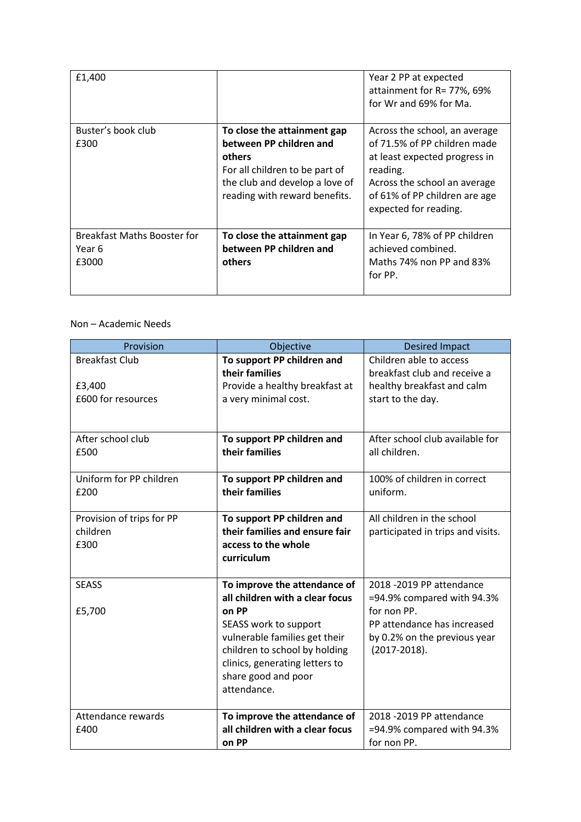| £1,400                                                |                                                                                                                                                                       | Year 2 PP at expected<br>attainment for R= 77%, 69%<br>for Wr and 69% for Ma.                                                                                                                        |
|-------------------------------------------------------|-----------------------------------------------------------------------------------------------------------------------------------------------------------------------|------------------------------------------------------------------------------------------------------------------------------------------------------------------------------------------------------|
| Buster's book club<br>£300                            | To close the attainment gap<br>between PP children and<br>others<br>For all children to be part of<br>the club and develop a love of<br>reading with reward benefits. | Across the school, an average<br>of 71.5% of PP children made<br>at least expected progress in<br>reading.<br>Across the school an average<br>of 61% of PP children are age<br>expected for reading. |
| <b>Breakfast Maths Booster for</b><br>Year 6<br>£3000 | To close the attainment gap<br>between PP children and<br>others                                                                                                      | In Year 6, 78% of PP children<br>achieved combined.<br>Maths 74% non PP and 83%<br>for PP.                                                                                                           |

## Non – Academic Needs

| Provision                 | Objective                                                       | <b>Desired Impact</b>             |
|---------------------------|-----------------------------------------------------------------|-----------------------------------|
| <b>Breakfast Club</b>     | To support PP children and                                      | Children able to access           |
|                           | their families                                                  | breakfast club and receive a      |
| £3,400                    | Provide a healthy breakfast at                                  | healthy breakfast and calm        |
| £600 for resources        | a very minimal cost.                                            | start to the day.                 |
|                           |                                                                 |                                   |
| After school club         | To support PP children and                                      | After school club available for   |
| £500                      | their families                                                  | all children.                     |
|                           |                                                                 |                                   |
| Uniform for PP children   | To support PP children and                                      | 100% of children in correct       |
| £200                      | their families                                                  | uniform.                          |
|                           |                                                                 |                                   |
| Provision of trips for PP | To support PP children and                                      | All children in the school        |
| children                  | their families and ensure fair                                  | participated in trips and visits. |
| £300                      | access to the whole                                             |                                   |
|                           | curriculum                                                      |                                   |
|                           |                                                                 |                                   |
| <b>SEASS</b>              | To improve the attendance of                                    | 2018 -2019 PP attendance          |
|                           | all children with a clear focus                                 | =94.9% compared with 94.3%        |
| £5,700                    | on PP                                                           | for non PP.                       |
|                           | SEASS work to support                                           | PP attendance has increased       |
|                           | vulnerable families get their                                   | by 0.2% on the previous year      |
|                           | children to school by holding<br>clinics, generating letters to | $(2017 - 2018).$                  |
|                           | share good and poor                                             |                                   |
|                           | attendance.                                                     |                                   |
|                           |                                                                 |                                   |
| Attendance rewards        | To improve the attendance of                                    | 2018 -2019 PP attendance          |
| £400                      | all children with a clear focus                                 | =94.9% compared with 94.3%        |
|                           | on PP                                                           | for non PP.                       |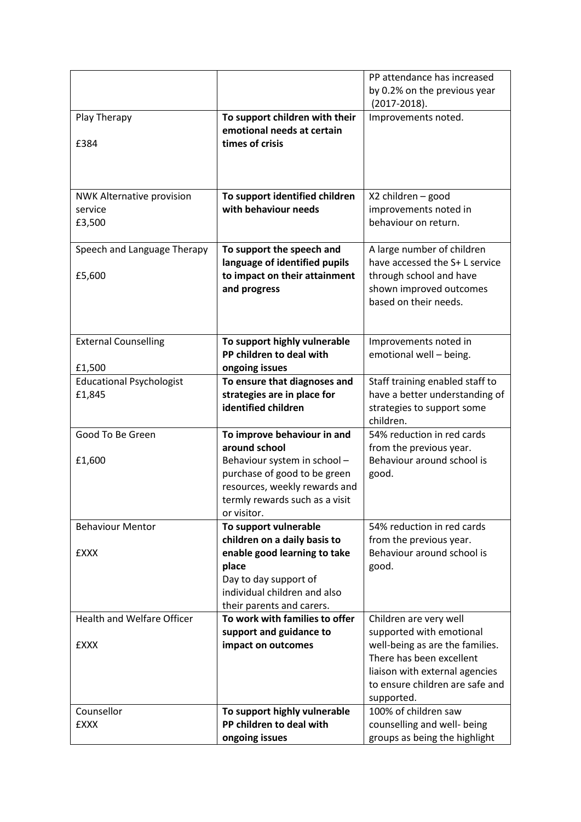|                                   |                                                              | PP attendance has increased                           |
|-----------------------------------|--------------------------------------------------------------|-------------------------------------------------------|
|                                   |                                                              | by 0.2% on the previous year                          |
|                                   |                                                              | $(2017 - 2018).$                                      |
| Play Therapy                      | To support children with their                               | Improvements noted.                                   |
|                                   | emotional needs at certain                                   |                                                       |
| £384                              | times of crisis                                              |                                                       |
|                                   |                                                              |                                                       |
|                                   |                                                              |                                                       |
|                                   |                                                              |                                                       |
| <b>NWK Alternative provision</b>  | To support identified children                               | X2 children - good                                    |
| service                           | with behaviour needs                                         | improvements noted in                                 |
| £3,500                            |                                                              | behaviour on return.                                  |
|                                   |                                                              |                                                       |
| Speech and Language Therapy       | To support the speech and                                    | A large number of children                            |
|                                   | language of identified pupils                                | have accessed the S+ L service                        |
| £5,600                            | to impact on their attainment                                | through school and have                               |
|                                   | and progress                                                 | shown improved outcomes                               |
|                                   |                                                              | based on their needs.                                 |
|                                   |                                                              |                                                       |
|                                   |                                                              |                                                       |
| <b>External Counselling</b>       | To support highly vulnerable                                 | Improvements noted in                                 |
|                                   | PP children to deal with                                     | emotional well - being.                               |
| £1,500                            | ongoing issues                                               |                                                       |
| <b>Educational Psychologist</b>   | To ensure that diagnoses and                                 | Staff training enabled staff to                       |
| £1,845                            | strategies are in place for                                  | have a better understanding of                        |
|                                   | identified children                                          | strategies to support some                            |
|                                   |                                                              | children.                                             |
| Good To Be Green                  | To improve behaviour in and<br>around school                 | 54% reduction in red cards                            |
| £1,600                            |                                                              | from the previous year.<br>Behaviour around school is |
|                                   | Behaviour system in school -<br>purchase of good to be green |                                                       |
|                                   | resources, weekly rewards and                                | good.                                                 |
|                                   | termly rewards such as a visit                               |                                                       |
|                                   | or visitor.                                                  |                                                       |
| <b>Behaviour Mentor</b>           | To support vulnerable                                        | 54% reduction in red cards                            |
|                                   | children on a daily basis to                                 | from the previous year.                               |
| <b>EXXX</b>                       | enable good learning to take                                 | Behaviour around school is                            |
|                                   | place                                                        | good.                                                 |
|                                   | Day to day support of                                        |                                                       |
|                                   | individual children and also                                 |                                                       |
|                                   | their parents and carers.                                    |                                                       |
| <b>Health and Welfare Officer</b> | To work with families to offer                               | Children are very well                                |
|                                   | support and guidance to                                      | supported with emotional                              |
| <b>EXXX</b>                       | impact on outcomes                                           | well-being as are the families.                       |
|                                   |                                                              | There has been excellent                              |
|                                   |                                                              | liaison with external agencies                        |
|                                   |                                                              | to ensure children are safe and                       |
|                                   |                                                              | supported.                                            |
| Counsellor                        | To support highly vulnerable                                 | 100% of children saw                                  |
| <b>EXXX</b>                       | PP children to deal with                                     | counselling and well- being                           |
|                                   | ongoing issues                                               | groups as being the highlight                         |